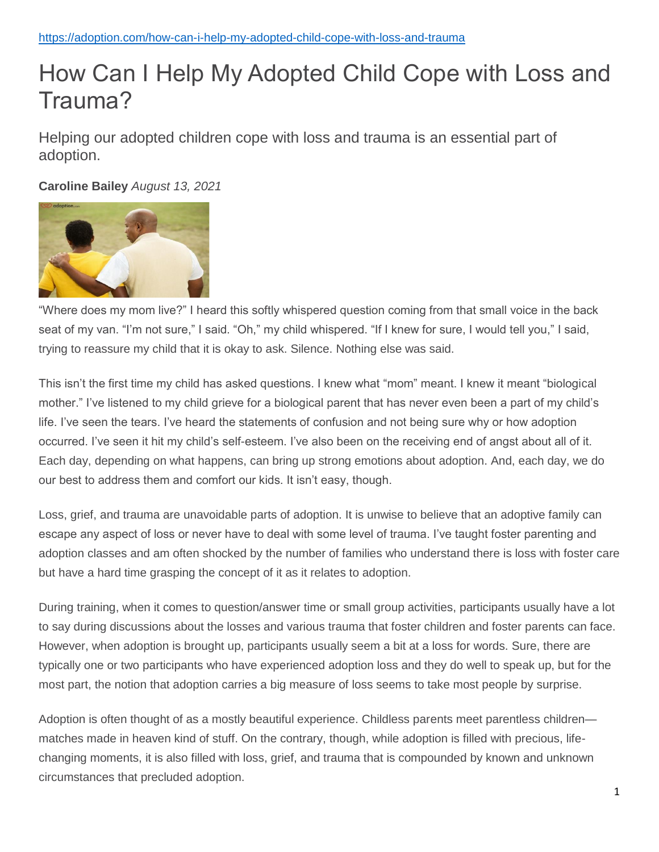## How Can I Help My Adopted Child Cope with Loss and Trauma?

Helping our adopted children cope with loss and trauma is an essential part of adoption.

## **Caroline Bailey** *August 13, 202[1](http://www.facebook.com/sharer.php?s=100&p%5burl%5d=%2F%2Fadoption.com%2Fhow-can-i-help-my-adopted-child-cope-with-loss-and-trauma%2F&p%5bimages%5d%5b0%5d=%2F%2Fstatic.adoption.com%2Fatollo%2Fuploads%2F2019%2F09%2FHelp-Adopted-Child-Cope-600x400.jpg&p%5btitle%5d=How+Can+I+Help+My+Adopted+Child+Cope+with+Loss+and+Trauma%3F&p%5bsummary%5d=)*



"Where does my mom live?" I heard this softly whispered question coming from that small voice in the back seat of my van. "I'm not sure," I said. "Oh," my child whispered. "If I knew for sure, I would tell you," I said, trying to reassure my child that it is okay to ask. Silence. Nothing else was said.

This isn't the first time my child has asked questions. I knew what "mom" meant. I knew it meant "biological mother." I've listened to my child grieve for a biological parent that has never even been a part of my child's life. I've seen the tears. I've heard the statements of confusion and not being sure why or how adoption occurred. I've seen it hit my child's self-esteem. I've also been on the receiving end of angst about all of it. Each day, depending on what happens, can bring up strong emotions about adoption. And, each day, we do our best to address them and comfort our kids. It isn't easy, though.

Loss, grief, and trauma are unavoidable parts of adoption. It is unwise to believe that an adoptive family can escape any aspect of loss or never have to deal with some level of trauma. I've taught foster parenting and adoption classes and am often shocked by the number of families who understand there is loss with foster care but have a hard time grasping the concept of it as it relates to adoption.

During training, when it comes to question/answer time or small group activities, participants usually have a lot to say during discussions about the losses and various trauma that foster children and foster parents can face. However, when adoption is brought up, participants usually seem a bit at a loss for words. Sure, there are typically one or two participants who have experienced adoption loss and they do well to speak up, but for the most part, the notion that adoption carries a big measure of loss seems to take most people by surprise.

Adoption is often thought of as a mostly beautiful experience. Childless parents meet parentless children matches made in heaven kind of stuff. On the contrary, though, while adoption is filled with precious, lifechanging moments, it is also filled with loss, grief, and trauma that is compounded by known and unknown circumstances that precluded adoption.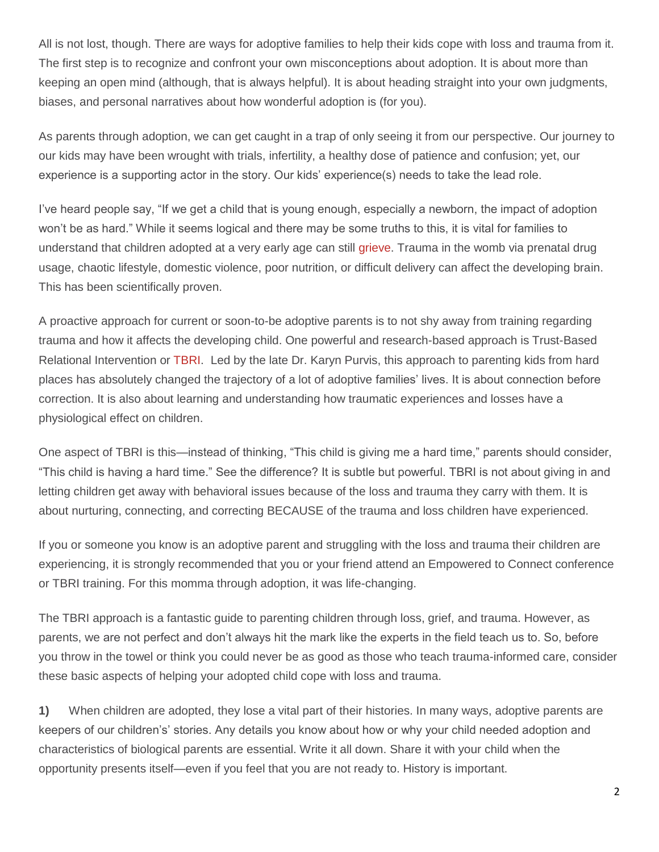All is not lost, though. There are ways for adoptive families to help their kids cope with loss and trauma from it. The first step is to recognize and confront your own misconceptions about adoption. It is about more than keeping an open mind (although, that is always helpful). It is about heading straight into your own judgments, biases, and personal narratives about how wonderful adoption is (for you).

As parents through adoption, we can get caught in a trap of only seeing it from our perspective. Our journey to our kids may have been wrought with trials, infertility, a healthy dose of patience and confusion; yet, our experience is a supporting actor in the story. Our kids' experience(s) needs to take the lead role.

I've heard people say, "If we get a child that is young enough, especially a newborn, the impact of adoption won't be as hard." While it seems logical and there may be some truths to this, it is vital for families to understand that children adopted at a very early age can still [grieve.](https://adoption.com/how-infants-grieve-a-guide-for-new-adoptive-parents) Trauma in the womb via prenatal drug usage, chaotic lifestyle, domestic violence, poor nutrition, or difficult delivery can affect the developing brain. This has been scientifically proven.

A proactive approach for current or soon-to-be adoptive parents is to not shy away from training regarding trauma and how it affects the developing child. One powerful and research-based approach is Trust-Based Relational Intervention or [TBRI.](https://adoption.com/the-4-best-things-we-learned-from-karyn-purvis) Led by the late Dr. Karyn Purvis, this approach to parenting kids from hard places has absolutely changed the trajectory of a lot of adoptive families' lives. It is about connection before correction. It is also about learning and understanding how traumatic experiences and losses have a physiological effect on children.

One aspect of TBRI is this—instead of thinking, "This child is giving me a hard time," parents should consider, "This child is having a hard time." See the difference? It is subtle but powerful. TBRI is not about giving in and letting children get away with behavioral issues because of the loss and trauma they carry with them. It is about nurturing, connecting, and correcting BECAUSE of the trauma and loss children have experienced.

If you or someone you know is an adoptive parent and struggling with the loss and trauma their children are experiencing, it is strongly recommended that you or your friend attend an Empowered to Connect conference or TBRI training. For this momma through adoption, it was life-changing.

The TBRI approach is a fantastic guide to parenting children through loss, grief, and trauma. However, as parents, we are not perfect and don't always hit the mark like the experts in the field teach us to. So, before you throw in the towel or think you could never be as good as those who teach trauma-informed care, consider these basic aspects of helping your adopted child cope with loss and trauma.

**1)** When children are adopted, they lose a vital part of their histories. In many ways, adoptive parents are keepers of our children's' stories. Any details you know about how or why your child needed adoption and characteristics of biological parents are essential. Write it all down. Share it with your child when the opportunity presents itself—even if you feel that you are not ready to. History is important.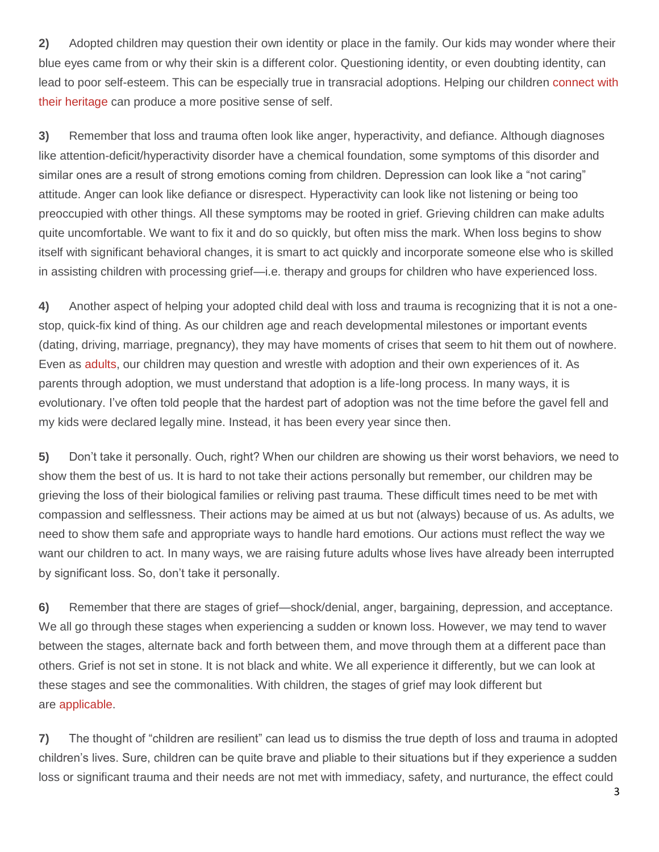**2)** Adopted children may question their own identity or place in the family. Our kids may wonder where their blue eyes came from or why their skin is a different color. Questioning identity, or even doubting identity, can lead to poor self-esteem. This can be especially true in transracial adoptions. Helping our children [connect with](https://adoption.com/10-things-you-should-know-before-adopting-transracially)  [their heritage](https://adoption.com/10-things-you-should-know-before-adopting-transracially) can produce a more positive sense of self.

**3)** Remember that loss and trauma often look like anger, hyperactivity, and defiance. Although diagnoses like attention-deficit/hyperactivity disorder have a chemical foundation, some symptoms of this disorder and similar ones are a result of strong emotions coming from children. Depression can look like a "not caring" attitude. Anger can look like defiance or disrespect. Hyperactivity can look like not listening or being too preoccupied with other things. All these symptoms may be rooted in grief. Grieving children can make adults quite uncomfortable. We want to fix it and do so quickly, but often miss the mark. When loss begins to show itself with significant behavioral changes, it is smart to act quickly and incorporate someone else who is skilled in assisting children with processing grief—i.e. therapy and groups for children who have experienced loss.

**4)** Another aspect of helping your adopted child deal with loss and trauma is recognizing that it is not a onestop, quick-fix kind of thing. As our children age and reach developmental milestones or important events (dating, driving, marriage, pregnancy), they may have moments of crises that seem to hit them out of nowhere. Even as [adults,](https://adoption.com/forums/thread/92170/adoptee-039-s-discovering-unresolved-grief-loss-issues-in-later-years/) our children may question and wrestle with adoption and their own experiences of it. As parents through adoption, we must understand that adoption is a life-long process. In many ways, it is evolutionary. I've often told people that the hardest part of adoption was not the time before the gavel fell and my kids were declared legally mine. Instead, it has been every year since then.

**5)** Don't take it personally. Ouch, right? When our children are showing us their worst behaviors, we need to show them the best of us. It is hard to not take their actions personally but remember, our children may be grieving the loss of their biological families or reliving past trauma. These difficult times need to be met with compassion and selflessness. Their actions may be aimed at us but not (always) because of us. As adults, we need to show them safe and appropriate ways to handle hard emotions. Our actions must reflect the way we want our children to act. In many ways, we are raising future adults whose lives have already been interrupted by significant loss. So, don't take it personally.

**6)** Remember that there are stages of grief—shock/denial, anger, bargaining, depression, and acceptance. We all go through these stages when experiencing a sudden or known loss. However, we may tend to waver between the stages, alternate back and forth between them, and move through them at a different pace than others. Grief is not set in stone. It is not black and white. We all experience it differently, but we can look at these stages and see the commonalities. With children, the stages of grief may look different but are [applicable.](https://adoption.com/how-grieving-process-applies-to-adoption)

**7)** The thought of "children are resilient" can lead us to dismiss the true depth of loss and trauma in adopted children's lives. Sure, children can be quite brave and pliable to their situations but if they experience a sudden loss or significant trauma and their needs are not met with immediacy, safety, and nurturance, the effect could